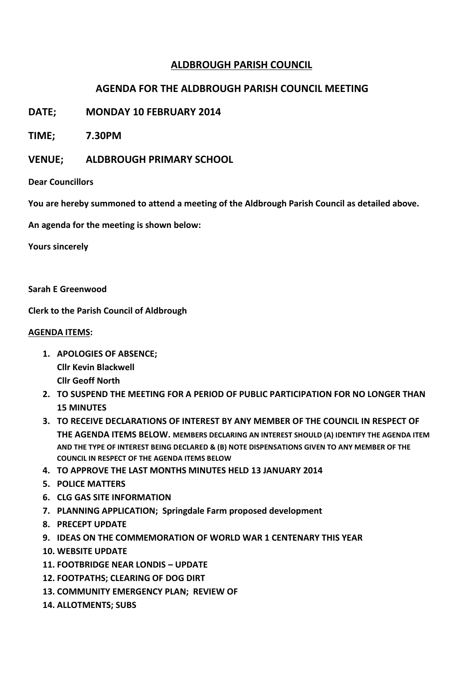# **ALDBROUGH PARISH COUNCIL**

## **AGENDA FOR THE ALDBROUGH PARISH COUNCIL MEETING**

**DATE; MONDAY 10 FEBRUARY 2014**

**TIME; 7.30PM**

**VENUE; ALDBROUGH PRIMARY SCHOOL**

**Dear Councillors**

**You are hereby summoned to attend a meeting of the Aldbrough Parish Council as detailed above.**

**An agenda for the meeting is shown below:**

**Yours sincerely**

**Sarah E Greenwood**

**Clerk to the Parish Council of Aldbrough**

### **AGENDA ITEMS:**

- **1. APOLOGIES OF ABSENCE; Cllr Kevin Blackwell**
	- **Cllr Geoff North**
- **2. TO SUSPEND THE MEETING FOR A PERIOD OF PUBLIC PARTICIPATION FOR NO LONGER THAN 15 MINUTES**
- **3. TO RECEIVE DECLARATIONS OF INTEREST BY ANY MEMBER OF THE COUNCIL IN RESPECT OF THE AGENDA ITEMS BELOW. MEMBERS DECLARING AN INTEREST SHOULD (A) IDENTIFY THE AGENDA ITEM AND THE TYPE OF INTEREST BEING DECLARED & (B) NOTE DISPENSATIONS GIVEN TO ANY MEMBER OF THE COUNCIL IN RESPECT OF THE AGENDA ITEMS BELOW**
- **4. TO APPROVE THE LAST MONTHS MINUTES HELD 13 JANUARY 2014**
- **5. POLICE MATTERS**
- **6. CLG GAS SITE INFORMATION**
- **7. PLANNING APPLICATION; Springdale Farm proposed development**
- **8. PRECEPT UPDATE**
- **9. IDEAS ON THE COMMEMORATION OF WORLD WAR 1 CENTENARY THIS YEAR**
- **10. WEBSITE UPDATE**
- **11. FOOTBRIDGE NEAR LONDIS – UPDATE**
- **12. FOOTPATHS; CLEARING OF DOG DIRT**
- **13. COMMUNITY EMERGENCY PLAN; REVIEW OF**
- **14. ALLOTMENTS; SUBS**